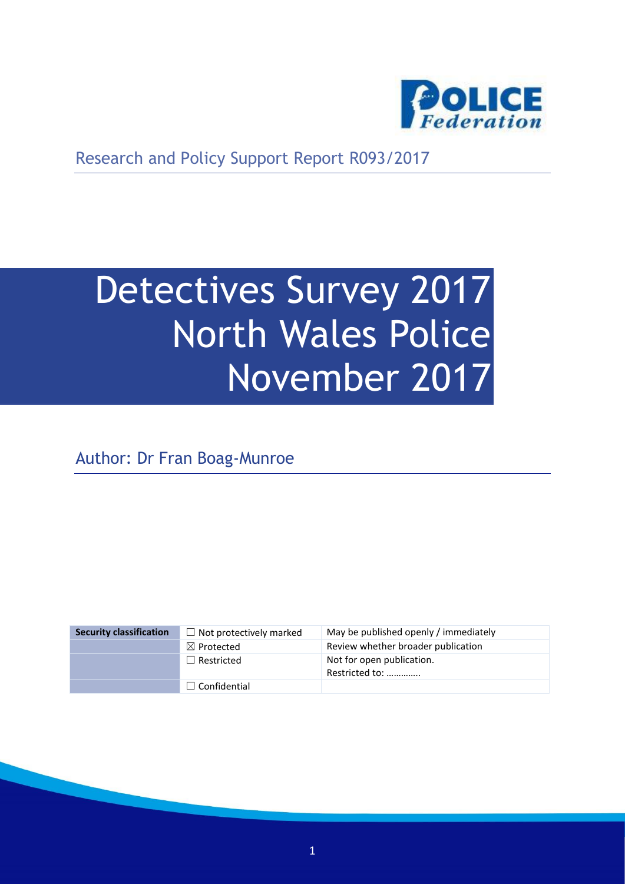

Research and Policy Support Report R093/2017

# Detectives Survey 2017 North Wales Police November 2017

Author: Dr Fran Boag-Munroe

| <b>Security classification</b> | $\Box$ Not protectively marked | May be published openly / immediately       |
|--------------------------------|--------------------------------|---------------------------------------------|
|                                | $\boxtimes$ Protected          | Review whether broader publication          |
|                                | $\Box$ Restricted              | Not for open publication.<br>Restricted to: |
|                                | $\Box$ Confidential            |                                             |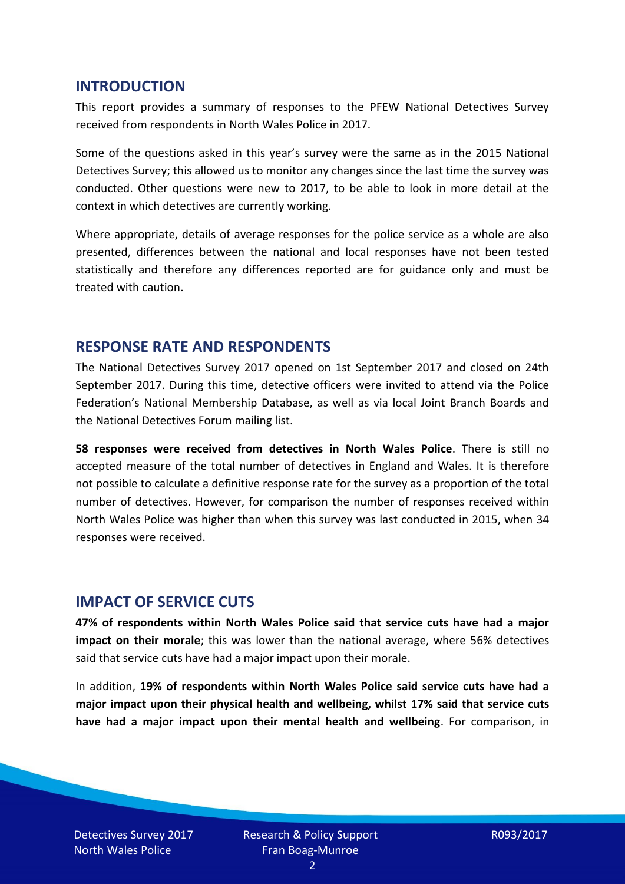#### **INTRODUCTION**

This report provides a summary of responses to the PFEW National Detectives Survey received from respondents in North Wales Police in 2017.

Some of the questions asked in this year's survey were the same as in the 2015 National Detectives Survey; this allowed us to monitor any changes since the last time the survey was conducted. Other questions were new to 2017, to be able to look in more detail at the context in which detectives are currently working.

Where appropriate, details of average responses for the police service as a whole are also presented, differences between the national and local responses have not been tested statistically and therefore any differences reported are for guidance only and must be treated with caution.

#### **RESPONSE RATE AND RESPONDENTS**

The National Detectives Survey 2017 opened on 1st September 2017 and closed on 24th September 2017. During this time, detective officers were invited to attend via the Police Federation's National Membership Database, as well as via local Joint Branch Boards and the National Detectives Forum mailing list.

**58 responses were received from detectives in North Wales Police**. There is still no accepted measure of the total number of detectives in England and Wales. It is therefore not possible to calculate a definitive response rate for the survey as a proportion of the total number of detectives. However, for comparison the number of responses received within North Wales Police was higher than when this survey was last conducted in 2015, when 34 responses were received.

#### **IMPACT OF SERVICE CUTS**

**47% of respondents within North Wales Police said that service cuts have had a major impact on their morale**; this was lower than the national average, where 56% detectives said that service cuts have had a major impact upon their morale.

In addition, **19% of respondents within North Wales Police said service cuts have had a major impact upon their physical health and wellbeing, whilst 17% said that service cuts have had a major impact upon their mental health and wellbeing**. For comparison, in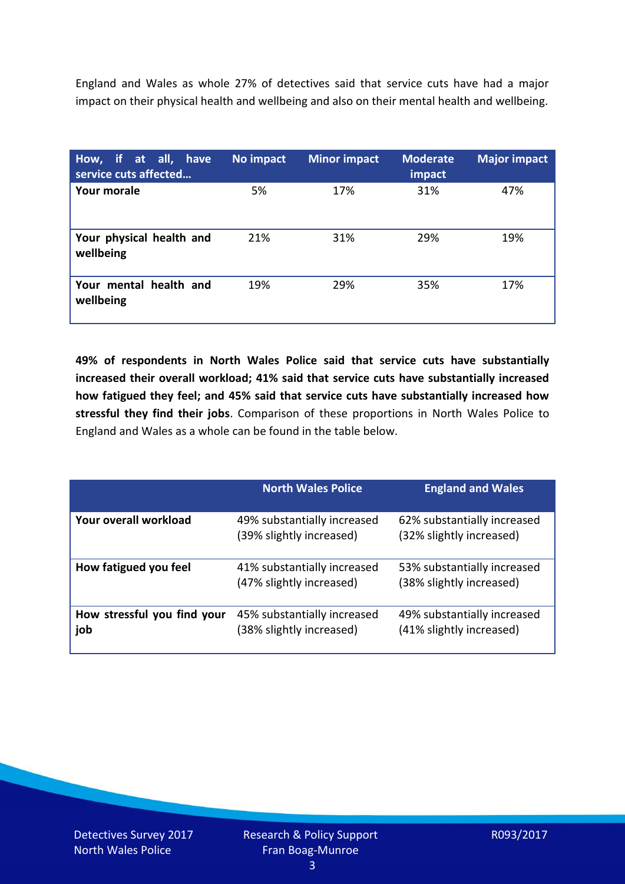England and Wales as whole 27% of detectives said that service cuts have had a major impact on their physical health and wellbeing and also on their mental health and wellbeing.

| How, if at all, have<br>service cuts affected | No impact | <b>Minor impact</b> | <b>Moderate</b><br>impact | <b>Major impact</b> |
|-----------------------------------------------|-----------|---------------------|---------------------------|---------------------|
| Your morale                                   | 5%        | 17%                 | 31%                       | 47%                 |
| Your physical health and<br>wellbeing         | 21%       | 31%                 | 29%                       | 19%                 |
| Your mental health and<br>wellbeing           | 19%       | 29%                 | 35%                       | 17%                 |

**49% of respondents in North Wales Police said that service cuts have substantially increased their overall workload; 41% said that service cuts have substantially increased how fatigued they feel; and 45% said that service cuts have substantially increased how stressful they find their jobs**. Comparison of these proportions in North Wales Police to England and Wales as a whole can be found in the table below.

|                                    | <b>North Wales Police</b>                               | <b>England and Wales</b>                                |
|------------------------------------|---------------------------------------------------------|---------------------------------------------------------|
| Your overall workload              | 49% substantially increased<br>(39% slightly increased) | 62% substantially increased<br>(32% slightly increased) |
| How fatigued you feel              | 41% substantially increased<br>(47% slightly increased) | 53% substantially increased<br>(38% slightly increased) |
| How stressful you find your<br>job | 45% substantially increased<br>(38% slightly increased) | 49% substantially increased<br>(41% slightly increased) |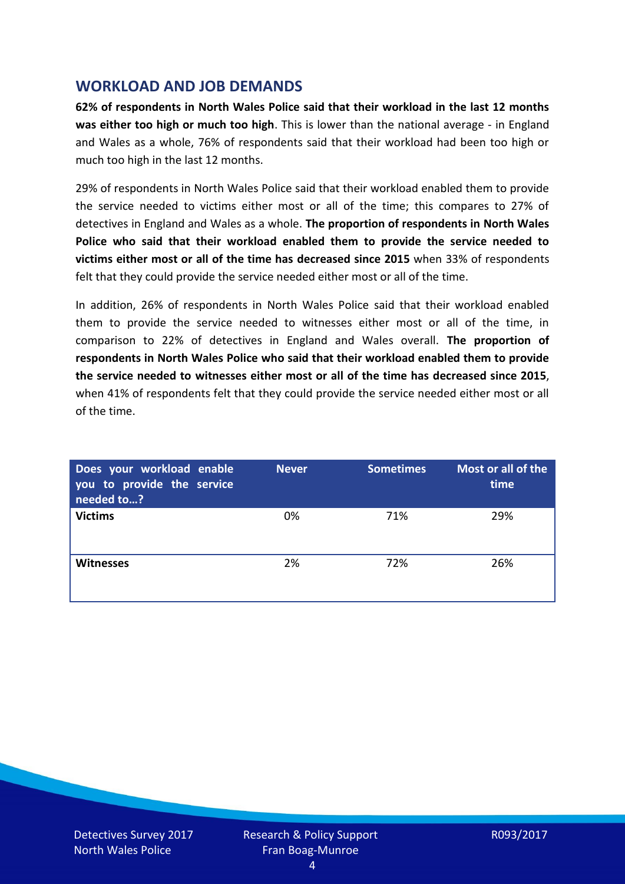## **WORKLOAD AND JOB DEMANDS**

**62% of respondents in North Wales Police said that their workload in the last 12 months was either too high or much too high**. This is lower than the national average - in England and Wales as a whole, 76% of respondents said that their workload had been too high or much too high in the last 12 months.

29% of respondents in North Wales Police said that their workload enabled them to provide the service needed to victims either most or all of the time; this compares to 27% of detectives in England and Wales as a whole. **The proportion of respondents in North Wales Police who said that their workload enabled them to provide the service needed to victims either most or all of the time has decreased since 2015** when 33% of respondents felt that they could provide the service needed either most or all of the time.

In addition, 26% of respondents in North Wales Police said that their workload enabled them to provide the service needed to witnesses either most or all of the time, in comparison to 22% of detectives in England and Wales overall. **The proportion of respondents in North Wales Police who said that their workload enabled them to provide the service needed to witnesses either most or all of the time has decreased since 2015**, when 41% of respondents felt that they could provide the service needed either most or all of the time.

| Does your workload enable<br>you to provide the service<br>needed to? | <b>Never</b> | <b>Sometimes</b> | Most or all of the<br>time |
|-----------------------------------------------------------------------|--------------|------------------|----------------------------|
| <b>Victims</b>                                                        | 0%           | 71%              | 29%                        |
| Witnesses                                                             | 2%           | 72%              | 26%                        |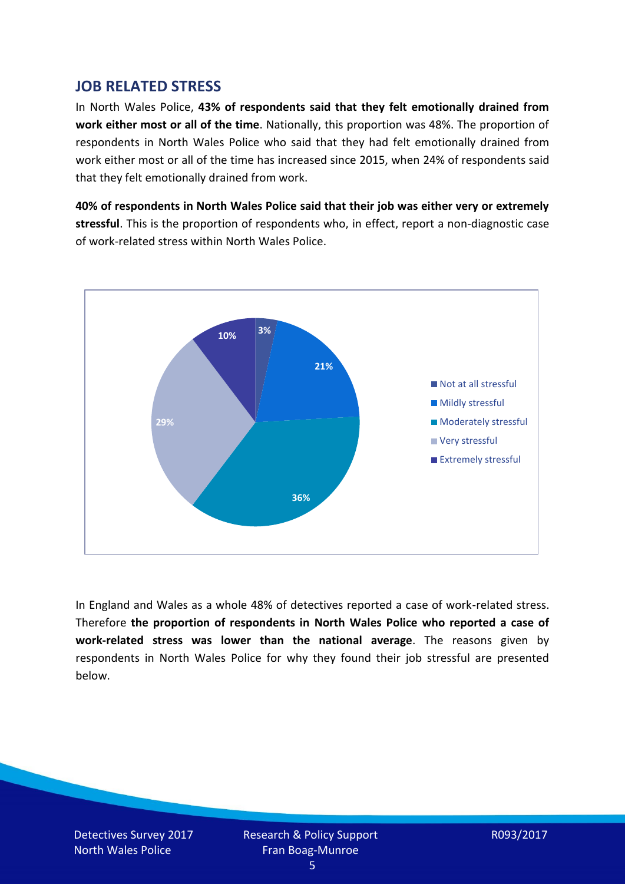## **JOB RELATED STRESS**

In North Wales Police, **43% of respondents said that they felt emotionally drained from work either most or all of the time**. Nationally, this proportion was 48%. The proportion of respondents in North Wales Police who said that they had felt emotionally drained from work either most or all of the time has increased since 2015, when 24% of respondents said that they felt emotionally drained from work.

**40% of respondents in North Wales Police said that their job was either very or extremely stressful**. This is the proportion of respondents who, in effect, report a non-diagnostic case of work-related stress within North Wales Police.



In England and Wales as a whole 48% of detectives reported a case of work-related stress. Therefore **the proportion of respondents in North Wales Police who reported a case of work-related stress was lower than the national average**. The reasons given by respondents in North Wales Police for why they found their job stressful are presented below.

Detectives Survey 2017 North Wales Police

Research & Policy Support Fran Boag-Munroe

R093/2017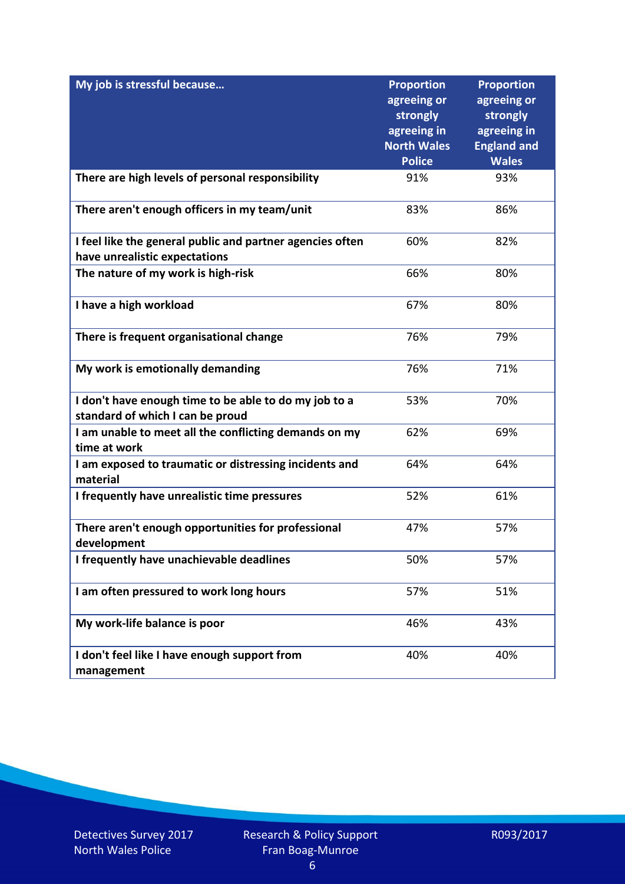| My job is stressful because                                                                | <b>Proportion</b><br>agreeing or<br>strongly | <b>Proportion</b><br>agreeing or<br>strongly |
|--------------------------------------------------------------------------------------------|----------------------------------------------|----------------------------------------------|
|                                                                                            | agreeing in<br><b>North Wales</b>            | agreeing in<br><b>England and</b>            |
|                                                                                            | <b>Police</b>                                | <b>Wales</b>                                 |
| There are high levels of personal responsibility                                           | 91%                                          | 93%                                          |
| There aren't enough officers in my team/unit                                               | 83%                                          | 86%                                          |
| I feel like the general public and partner agencies often<br>have unrealistic expectations | 60%                                          | 82%                                          |
| The nature of my work is high-risk                                                         | 66%                                          | 80%                                          |
| I have a high workload                                                                     | 67%                                          | 80%                                          |
| There is frequent organisational change                                                    | 76%                                          | 79%                                          |
| My work is emotionally demanding                                                           | 76%                                          | 71%                                          |
| I don't have enough time to be able to do my job to a<br>standard of which I can be proud  | 53%                                          | 70%                                          |
| I am unable to meet all the conflicting demands on my<br>time at work                      | 62%                                          | 69%                                          |
| I am exposed to traumatic or distressing incidents and<br>material                         | 64%                                          | 64%                                          |
| I frequently have unrealistic time pressures                                               | 52%                                          | 61%                                          |
| There aren't enough opportunities for professional<br>development                          | 47%                                          | 57%                                          |
| I frequently have unachievable deadlines                                                   | 50%                                          | 57%                                          |
| I am often pressured to work long hours                                                    | 57%                                          | 51%                                          |
| My work-life balance is poor                                                               | 46%                                          | 43%                                          |
| I don't feel like I have enough support from<br>management                                 | 40%                                          | 40%                                          |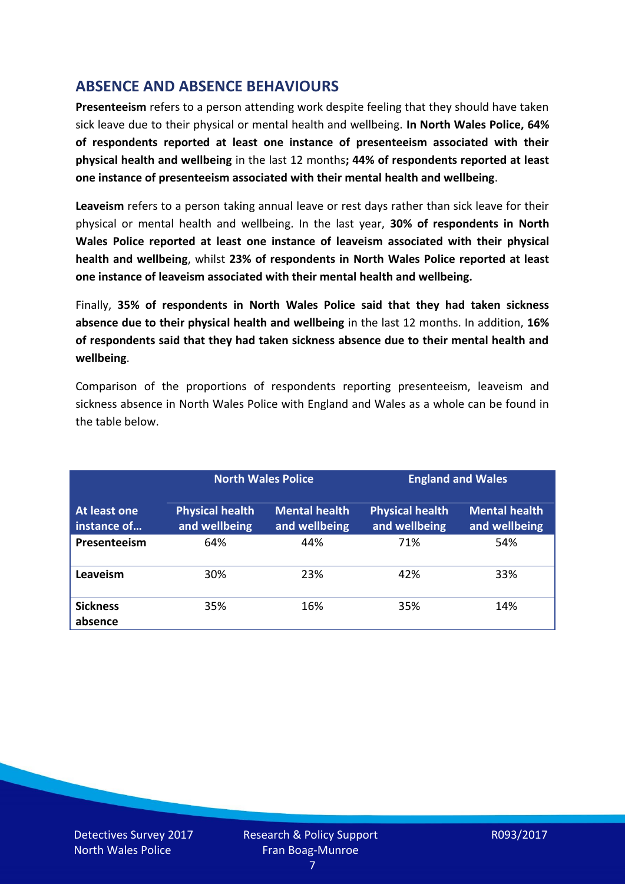# **ABSENCE AND ABSENCE BEHAVIOURS**

**Presenteeism** refers to a person attending work despite feeling that they should have taken sick leave due to their physical or mental health and wellbeing. **In North Wales Police, 64% of respondents reported at least one instance of presenteeism associated with their physical health and wellbeing** in the last 12 months**; 44% of respondents reported at least one instance of presenteeism associated with their mental health and wellbeing**.

**Leaveism** refers to a person taking annual leave or rest days rather than sick leave for their physical or mental health and wellbeing. In the last year, **30% of respondents in North Wales Police reported at least one instance of leaveism associated with their physical health and wellbeing**, whilst **23% of respondents in North Wales Police reported at least one instance of leaveism associated with their mental health and wellbeing.**

Finally, **35% of respondents in North Wales Police said that they had taken sickness absence due to their physical health and wellbeing** in the last 12 months. In addition, **16% of respondents said that they had taken sickness absence due to their mental health and wellbeing**.

Comparison of the proportions of respondents reporting presenteeism, leaveism and sickness absence in North Wales Police with England and Wales as a whole can be found in the table below.

|                             |                                         | <b>North Wales Police</b>             |                                         | <b>England and Wales</b>              |
|-----------------------------|-----------------------------------------|---------------------------------------|-----------------------------------------|---------------------------------------|
| At least one<br>instance of | <b>Physical health</b><br>and wellbeing | <b>Mental health</b><br>and wellbeing | <b>Physical health</b><br>and wellbeing | <b>Mental health</b><br>and wellbeing |
| Presenteeism                | 64%                                     | 44%                                   | 71%                                     | 54%                                   |
| Leaveism                    | 30%                                     | 23%                                   | 42%                                     | 33%                                   |
| <b>Sickness</b><br>absence  | 35%                                     | 16%                                   | 35%                                     | 14%                                   |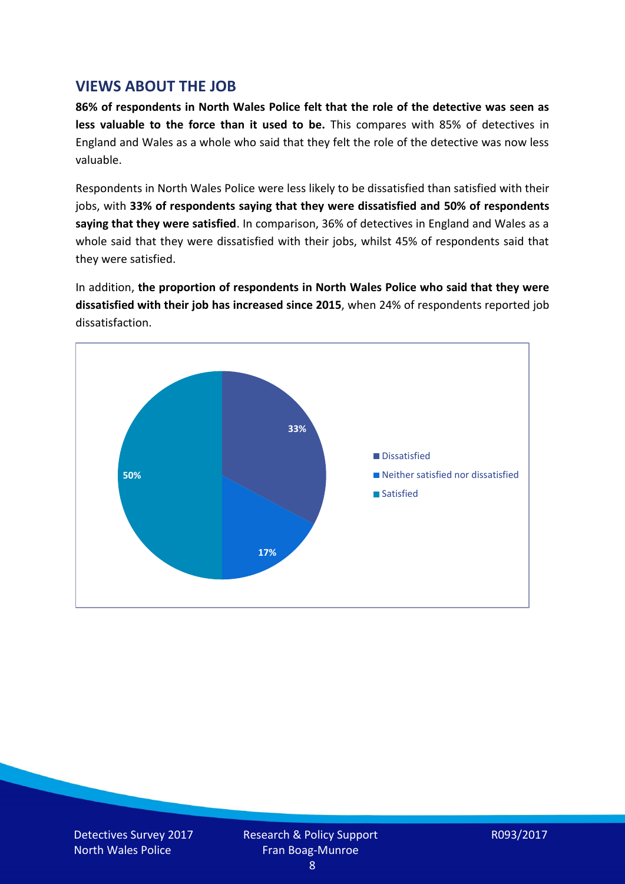## **VIEWS ABOUT THE JOB**

**86% of respondents in North Wales Police felt that the role of the detective was seen as less valuable to the force than it used to be.** This compares with 85% of detectives in England and Wales as a whole who said that they felt the role of the detective was now less valuable.

Respondents in North Wales Police were less likely to be dissatisfied than satisfied with their jobs, with **33% of respondents saying that they were dissatisfied and 50% of respondents saying that they were satisfied**. In comparison, 36% of detectives in England and Wales as a whole said that they were dissatisfied with their jobs, whilst 45% of respondents said that they were satisfied.

In addition, **the proportion of respondents in North Wales Police who said that they were dissatisfied with their job has increased since 2015**, when 24% of respondents reported job dissatisfaction.

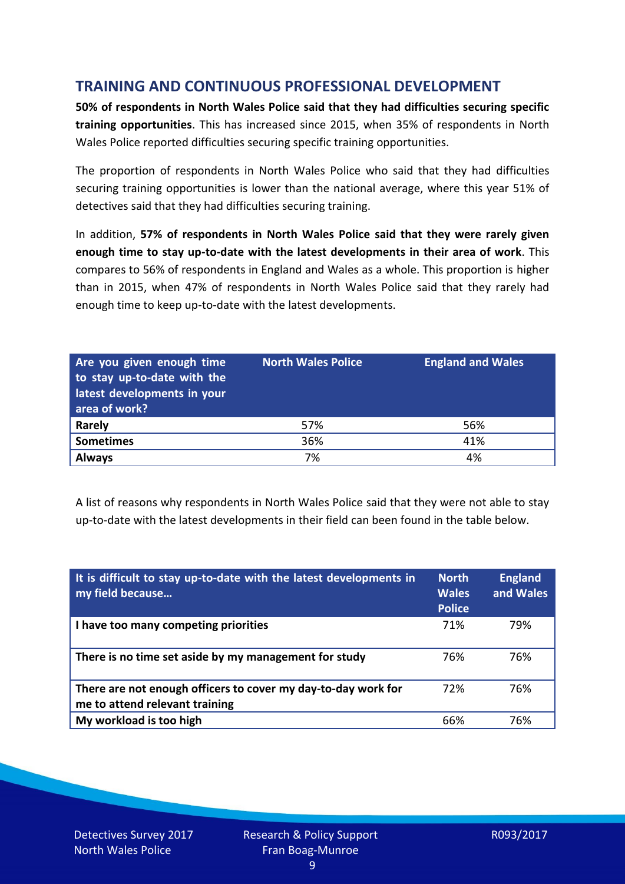# **TRAINING AND CONTINUOUS PROFESSIONAL DEVELOPMENT**

**50% of respondents in North Wales Police said that they had difficulties securing specific training opportunities**. This has increased since 2015, when 35% of respondents in North Wales Police reported difficulties securing specific training opportunities.

The proportion of respondents in North Wales Police who said that they had difficulties securing training opportunities is lower than the national average, where this year 51% of detectives said that they had difficulties securing training.

In addition, **57% of respondents in North Wales Police said that they were rarely given enough time to stay up-to-date with the latest developments in their area of work**. This compares to 56% of respondents in England and Wales as a whole. This proportion is higher than in 2015, when 47% of respondents in North Wales Police said that they rarely had enough time to keep up-to-date with the latest developments.

| Are you given enough time<br>to stay up-to-date with the<br>latest developments in your<br>area of work? | <b>North Wales Police</b> | <b>England and Wales</b> |
|----------------------------------------------------------------------------------------------------------|---------------------------|--------------------------|
| Rarely                                                                                                   | 57%                       | 56%                      |
| <b>Sometimes</b>                                                                                         | 36%                       | 41%                      |
| <b>Always</b>                                                                                            | 7%                        | 4%                       |

A list of reasons why respondents in North Wales Police said that they were not able to stay up-to-date with the latest developments in their field can been found in the table below.

| It is difficult to stay up-to-date with the latest developments in<br>my field because          | <b>North</b><br><b>Wales</b><br><b>Police</b> | <b>England</b><br>and Wales |
|-------------------------------------------------------------------------------------------------|-----------------------------------------------|-----------------------------|
| I have too many competing priorities                                                            | 71%                                           | 79%                         |
| There is no time set aside by my management for study                                           | 76%                                           | 76%                         |
| There are not enough officers to cover my day-to-day work for<br>me to attend relevant training | 72%                                           | 76%                         |
| My workload is too high                                                                         | 66%                                           | 76%                         |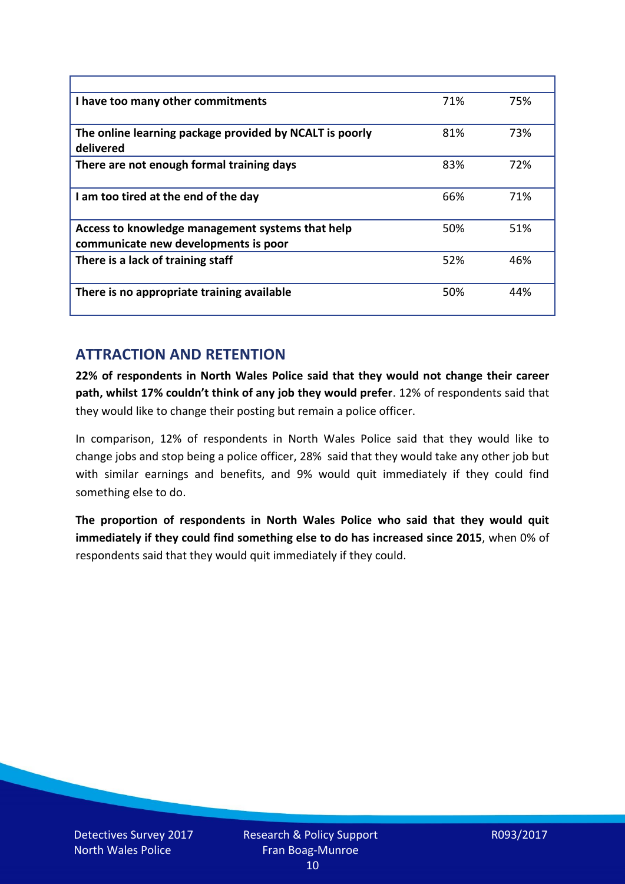| I have too many other commitments                                                        | 71% | 75% |
|------------------------------------------------------------------------------------------|-----|-----|
| The online learning package provided by NCALT is poorly<br>delivered                     | 81% | 73% |
| There are not enough formal training days                                                | 83% | 72% |
| I am too tired at the end of the day                                                     | 66% | 71% |
| Access to knowledge management systems that help<br>communicate new developments is poor | 50% | 51% |
| There is a lack of training staff                                                        | 52% | 46% |
| There is no appropriate training available                                               | 50% | 44% |

# **ATTRACTION AND RETENTION**

**22% of respondents in North Wales Police said that they would not change their career path, whilst 17% couldn't think of any job they would prefer**. 12% of respondents said that they would like to change their posting but remain a police officer.

In comparison, 12% of respondents in North Wales Police said that they would like to change jobs and stop being a police officer, 28% said that they would take any other job but with similar earnings and benefits, and 9% would quit immediately if they could find something else to do.

**The proportion of respondents in North Wales Police who said that they would quit immediately if they could find something else to do has increased since 2015**, when 0% of respondents said that they would quit immediately if they could.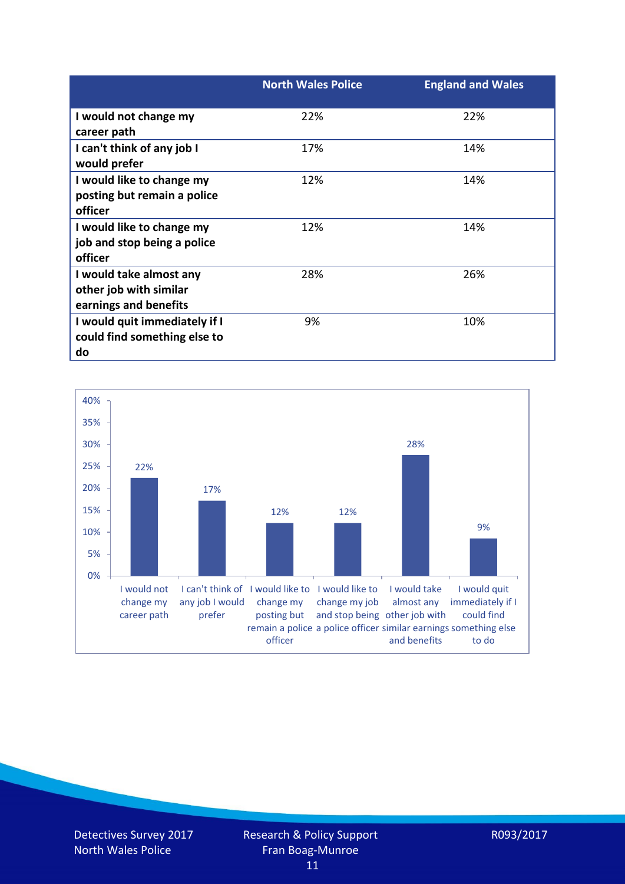|                               | <b>North Wales Police</b> | <b>England and Wales</b> |
|-------------------------------|---------------------------|--------------------------|
| I would not change my         | 22%                       | 22%                      |
| career path                   |                           |                          |
| I can't think of any job I    | 17%                       | 14%                      |
| would prefer                  |                           |                          |
| I would like to change my     | 12%                       | 14%                      |
| posting but remain a police   |                           |                          |
| officer                       |                           |                          |
| I would like to change my     | 12%                       | 14%                      |
| job and stop being a police   |                           |                          |
| officer                       |                           |                          |
| I would take almost any       | 28%                       | 26%                      |
| other job with similar        |                           |                          |
| earnings and benefits         |                           |                          |
| I would quit immediately if I | 9%                        | 10%                      |
| could find something else to  |                           |                          |
| do                            |                           |                          |